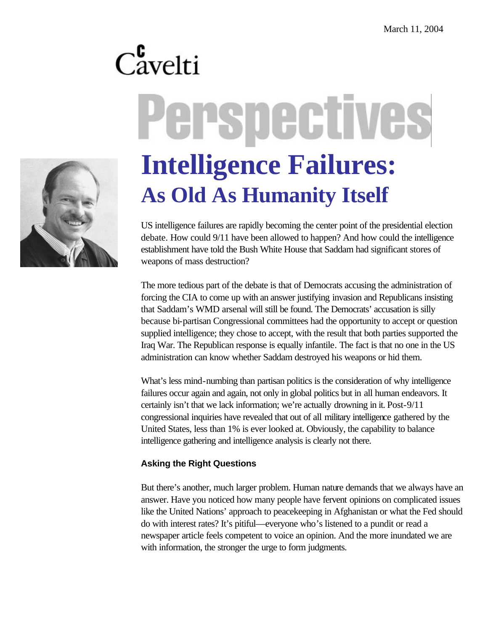## $C_{\text{avelti}}^{\text{c}}$ Perspective **Intelligence Failures:**

**As Old As Humanity Itself**

US intelligence failures are rapidly becoming the center point of the presidential election debate. How could 9/11 have been allowed to happen? And how could the intelligence establishment have told the Bush White House that Saddam had significant stores of weapons of mass destruction?

The more tedious part of the debate is that of Democrats accusing the administration of forcing the CIA to come up with an answer justifying invasion and Republicans insisting that Saddam's WMD arsenal will still be found. The Democrats' accusation is silly because bi-partisan Congressional committees had the opportunity to accept or question supplied intelligence; they chose to accept, with the result that both parties supported the Iraq War. The Republican response is equally infantile. The fact is that no one in the US administration can know whether Saddam destroyed his weapons or hid them.

What's less mind-numbing than partisan politics is the consideration of why intelligence failures occur again and again, not only in global politics but in all human endeavors. It certainly isn't that we lack information; we're actually drowning in it. Post-9/11 congressional inquiries have revealed that out of all military intelligence gathered by the United States, less than 1% is ever looked at. Obviously, the capability to balance intelligence gathering and intelligence analysis is clearly not there.

## **Asking the Right Questions**

But there's another, much larger problem. Human nature demands that we always have an answer. Have you noticed how many people have fervent opinions on complicated issues like the United Nations' approach to peacekeeping in Afghanistan or what the Fed should do with interest rates? It's pitiful—everyone who's listened to a pundit or read a newspaper article feels competent to voice an opinion. And the more inundated we are with information, the stronger the urge to form judgments.